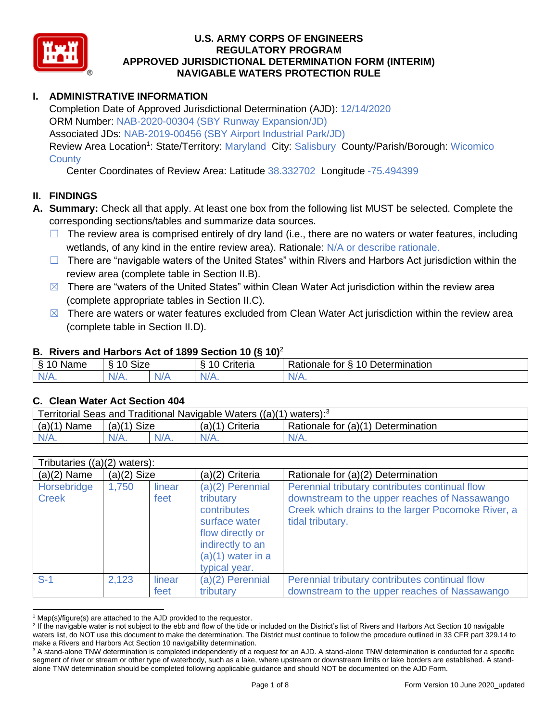

# **I. ADMINISTRATIVE INFORMATION**

Completion Date of Approved Jurisdictional Determination (AJD): 12/14/2020 ORM Number: NAB-2020-00304 (SBY Runway Expansion/JD) Associated JDs: NAB-2019-00456 (SBY Airport Industrial Park/JD) Review Area Location<sup>1</sup>: State/Territory: Maryland City: Salisbury County/Parish/Borough: Wicomico **County** 

Center Coordinates of Review Area: Latitude 38.332702 Longitude -75.494399

### **II. FINDINGS**

- **A. Summary:** Check all that apply. At least one box from the following list MUST be selected. Complete the corresponding sections/tables and summarize data sources.
	- $\Box$  The review area is comprised entirely of dry land (i.e., there are no waters or water features, including wetlands, of any kind in the entire review area). Rationale: N/A or describe rationale.
	- □ There are "navigable waters of the United States" within Rivers and Harbors Act jurisdiction within the review area (complete table in Section II.B).
	- $\boxtimes$  There are "waters of the United States" within Clean Water Act jurisdiction within the review area (complete appropriate tables in Section II.C).
	- $\boxtimes$  There are waters or water features excluded from Clean Water Act jurisdiction within the review area (complete table in Section II.D).

#### **B. Rivers and Harbors Act of 1899 Section 10 (§ 10)**<sup>2</sup>

| Name                      | $\ddot{\phantom{1}}$<br>Size<br>∼ |  | ;riteria | 10 Determination<br>Rationale for<br>↷ |
|---------------------------|-----------------------------------|--|----------|----------------------------------------|
| <b>NI</b><br>$\mathbf{v}$ | $N/A$ .                           |  | $N/A$ .  | AU.<br><b>MII.</b>                     |

#### **C. Clean Water Act Section 404**

| Territorial Seas and Traditional Navigable Waters $((a)(1)$ waters): <sup>3</sup> |               |  |                   |                                    |  |
|-----------------------------------------------------------------------------------|---------------|--|-------------------|------------------------------------|--|
| (a)(1)<br>Name                                                                    | $(a)(1)$ Size |  | $(a)(1)$ Criteria | Rationale for (a)(1) Determination |  |
| $N/A$ .                                                                           | $N/A$ .       |  |                   | $N/A$ .                            |  |

|                             | Tributaries $((a)(2)$ waters): |                |                                                                                                                                                 |                                                                                                                                                                           |  |  |  |
|-----------------------------|--------------------------------|----------------|-------------------------------------------------------------------------------------------------------------------------------------------------|---------------------------------------------------------------------------------------------------------------------------------------------------------------------------|--|--|--|
| $(a)(2)$ Name               | $(a)(2)$ Size                  |                | (a)(2) Criteria                                                                                                                                 | Rationale for (a)(2) Determination                                                                                                                                        |  |  |  |
| Horsebridge<br><b>Creek</b> | 1,750                          | linear<br>feet | $(a)(2)$ Perennial<br>tributary<br>contributes<br>surface water<br>flow directly or<br>indirectly to an<br>$(a)(1)$ water in a<br>typical year. | Perennial tributary contributes continual flow<br>downstream to the upper reaches of Nassawango<br>Creek which drains to the larger Pocomoke River, a<br>tidal tributary. |  |  |  |
| $S-1$                       | 2,123                          | linear<br>feet | (a)(2) Perennial<br>tributary                                                                                                                   | Perennial tributary contributes continual flow<br>downstream to the upper reaches of Nassawango                                                                           |  |  |  |

 $1$  Map(s)/figure(s) are attached to the AJD provided to the requestor.

<sup>&</sup>lt;sup>2</sup> If the navigable water is not subject to the ebb and flow of the tide or included on the District's list of Rivers and Harbors Act Section 10 navigable waters list, do NOT use this document to make the determination. The District must continue to follow the procedure outlined in 33 CFR part 329.14 to make a Rivers and Harbors Act Section 10 navigability determination.

<sup>&</sup>lt;sup>3</sup> A stand-alone TNW determination is completed independently of a request for an AJD. A stand-alone TNW determination is conducted for a specific segment of river or stream or other type of waterbody, such as a lake, where upstream or downstream limits or lake borders are established. A standalone TNW determination should be completed following applicable guidance and should NOT be documented on the AJD Form.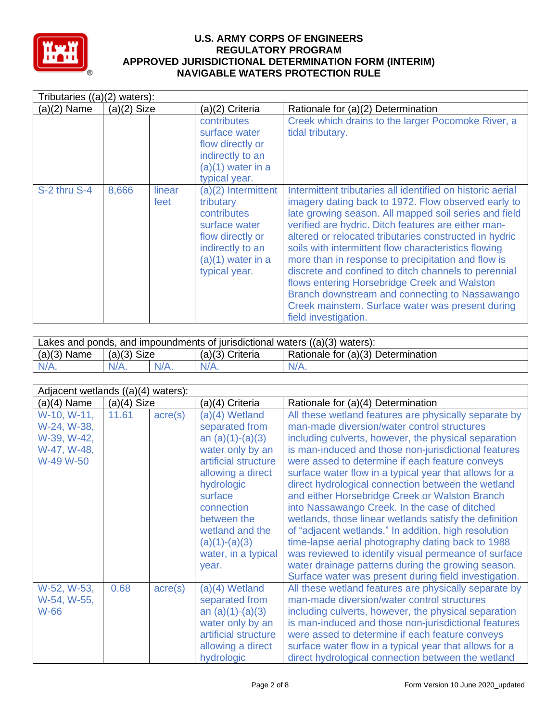

| Tributaries $((a)(2)$ waters): |               |                |                                                                                                                                                  |                                                                                                                                                                                                                                                                                                                                                                                                                                                                                                                                                                                                                                                 |  |  |
|--------------------------------|---------------|----------------|--------------------------------------------------------------------------------------------------------------------------------------------------|-------------------------------------------------------------------------------------------------------------------------------------------------------------------------------------------------------------------------------------------------------------------------------------------------------------------------------------------------------------------------------------------------------------------------------------------------------------------------------------------------------------------------------------------------------------------------------------------------------------------------------------------------|--|--|
| $(a)(2)$ Name                  | $(a)(2)$ Size |                | (a)(2) Criteria                                                                                                                                  | Rationale for (a)(2) Determination                                                                                                                                                                                                                                                                                                                                                                                                                                                                                                                                                                                                              |  |  |
|                                |               |                | contributes<br>surface water<br>flow directly or<br>indirectly to an<br>$(a)(1)$ water in a<br>typical year.                                     | Creek which drains to the larger Pocomoke River, a<br>tidal tributary.                                                                                                                                                                                                                                                                                                                                                                                                                                                                                                                                                                          |  |  |
| S-2 thru S-4                   | 8,666         | linear<br>feet | (a)(2) Intermittent<br>tributary<br>contributes<br>surface water<br>flow directly or<br>indirectly to an<br>$(a)(1)$ water in a<br>typical year. | Intermittent tributaries all identified on historic aerial<br>imagery dating back to 1972. Flow observed early to<br>late growing season. All mapped soil series and field<br>verified are hydric. Ditch features are either man-<br>altered or relocated tributaries constructed in hydric<br>soils with intermittent flow characteristics flowing<br>more than in response to precipitation and flow is<br>discrete and confined to ditch channels to perennial<br>flows entering Horsebridge Creek and Walston<br>Branch downstream and connecting to Nassawango<br>Creek mainstem. Surface water was present during<br>field investigation. |  |  |

| Lakes and ponds, and impoundments of jurisdictional waters $((a)(3)$ waters): |               |         |                   |                                    |  |
|-------------------------------------------------------------------------------|---------------|---------|-------------------|------------------------------------|--|
| $(a)(3)$ Name                                                                 | $(a)(3)$ Size |         | $(a)(3)$ Criteria | Rationale for (a)(3) Determination |  |
| $N/A$ .                                                                       | $N/A$ .       | $N/A$ . | $N/A$ .           | $N/A$ .                            |  |

|                                                                       | Adjacent wetlands $((a)(4)$ waters): |                  |                                                                                                                                                                                                                                                     |                                                                                                                                                                                                                                                                                                                                                                                                                                                                                                                                                                                                                                                                                                                                                                                                                                          |  |  |  |
|-----------------------------------------------------------------------|--------------------------------------|------------------|-----------------------------------------------------------------------------------------------------------------------------------------------------------------------------------------------------------------------------------------------------|------------------------------------------------------------------------------------------------------------------------------------------------------------------------------------------------------------------------------------------------------------------------------------------------------------------------------------------------------------------------------------------------------------------------------------------------------------------------------------------------------------------------------------------------------------------------------------------------------------------------------------------------------------------------------------------------------------------------------------------------------------------------------------------------------------------------------------------|--|--|--|
| $(a)(4)$ Name                                                         | $(a)(4)$ Size                        |                  | (a)(4) Criteria                                                                                                                                                                                                                                     | Rationale for (a)(4) Determination                                                                                                                                                                                                                                                                                                                                                                                                                                                                                                                                                                                                                                                                                                                                                                                                       |  |  |  |
| W-10, W-11,<br>W-24, W-38,<br>W-39, W-42,<br>W-47, W-48,<br>W-49 W-50 | 11.61                                | $\text{acre}(s)$ | (a)(4) Wetland<br>separated from<br>an $(a)(1)-(a)(3)$<br>water only by an<br>artificial structure<br>allowing a direct<br>hydrologic<br>surface<br>connection<br>between the<br>wetland and the<br>$(a)(1)-(a)(3)$<br>water, in a typical<br>year. | All these wetland features are physically separate by<br>man-made diversion/water control structures<br>including culverts, however, the physical separation<br>is man-induced and those non-jurisdictional features<br>were assed to determine if each feature conveys<br>surface water flow in a typical year that allows for a<br>direct hydrological connection between the wetland<br>and either Horsebridge Creek or Walston Branch<br>into Nassawango Creek. In the case of ditched<br>wetlands, those linear wetlands satisfy the definition<br>of "adjacent wetlands." In addition, high resolution<br>time-lapse aerial photography dating back to 1988<br>was reviewed to identify visual permeance of surface<br>water drainage patterns during the growing season.<br>Surface water was present during field investigation. |  |  |  |
| W-52, W-53,<br>W-54, W-55,<br>W-66                                    | 0.68                                 | $\text{acre}(s)$ | (a)(4) Wetland<br>separated from<br>an $(a)(1)-(a)(3)$<br>water only by an<br>artificial structure<br>allowing a direct<br>hydrologic                                                                                                               | All these wetland features are physically separate by<br>man-made diversion/water control structures<br>including culverts, however, the physical separation<br>is man-induced and those non-jurisdictional features<br>were assed to determine if each feature conveys<br>surface water flow in a typical year that allows for a<br>direct hydrological connection between the wetland                                                                                                                                                                                                                                                                                                                                                                                                                                                  |  |  |  |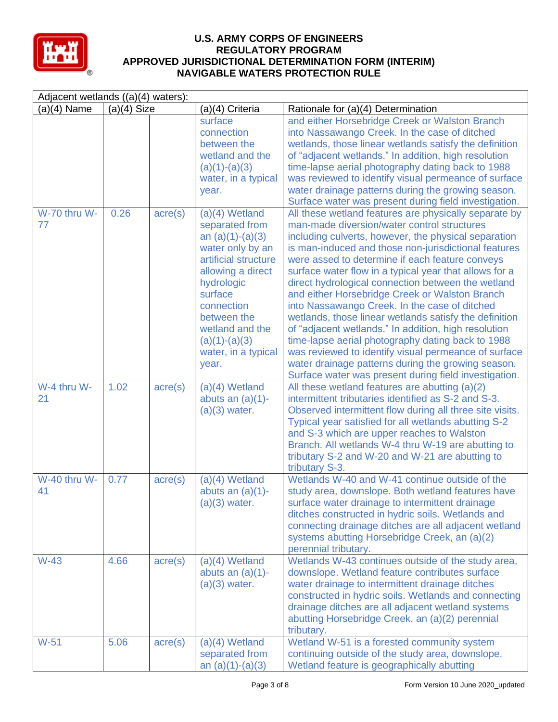

| Adjacent wetlands ((a)(4) waters): |               |                  |                                                                                                                                                                                                                                                       |                                                                                                                                                                                                                                                                                                                                                                                                                                                                                                                                                                                                                                                                                                                                                                                                                                          |  |
|------------------------------------|---------------|------------------|-------------------------------------------------------------------------------------------------------------------------------------------------------------------------------------------------------------------------------------------------------|------------------------------------------------------------------------------------------------------------------------------------------------------------------------------------------------------------------------------------------------------------------------------------------------------------------------------------------------------------------------------------------------------------------------------------------------------------------------------------------------------------------------------------------------------------------------------------------------------------------------------------------------------------------------------------------------------------------------------------------------------------------------------------------------------------------------------------------|--|
| $(a)(4)$ Name                      | $(a)(4)$ Size |                  | (a)(4) Criteria                                                                                                                                                                                                                                       | Rationale for (a)(4) Determination                                                                                                                                                                                                                                                                                                                                                                                                                                                                                                                                                                                                                                                                                                                                                                                                       |  |
|                                    |               |                  | surface<br>connection<br>between the<br>wetland and the<br>$(a)(1)-(a)(3)$<br>water, in a typical<br>year.                                                                                                                                            | and either Horsebridge Creek or Walston Branch<br>into Nassawango Creek. In the case of ditched<br>wetlands, those linear wetlands satisfy the definition<br>of "adjacent wetlands." In addition, high resolution<br>time-lapse aerial photography dating back to 1988<br>was reviewed to identify visual permeance of surface<br>water drainage patterns during the growing season.<br>Surface water was present during field investigation.                                                                                                                                                                                                                                                                                                                                                                                            |  |
| W-70 thru W-<br>77                 | 0.26          | $\text{acre}(s)$ | $(a)(4)$ Wetland<br>separated from<br>an $(a)(1)-(a)(3)$<br>water only by an<br>artificial structure<br>allowing a direct<br>hydrologic<br>surface<br>connection<br>between the<br>wetland and the<br>$(a)(1)-(a)(3)$<br>water, in a typical<br>year. | All these wetland features are physically separate by<br>man-made diversion/water control structures<br>including culverts, however, the physical separation<br>is man-induced and those non-jurisdictional features<br>were assed to determine if each feature conveys<br>surface water flow in a typical year that allows for a<br>direct hydrological connection between the wetland<br>and either Horsebridge Creek or Walston Branch<br>into Nassawango Creek. In the case of ditched<br>wetlands, those linear wetlands satisfy the definition<br>of "adjacent wetlands." In addition, high resolution<br>time-lapse aerial photography dating back to 1988<br>was reviewed to identify visual permeance of surface<br>water drainage patterns during the growing season.<br>Surface water was present during field investigation. |  |
| W-4 thru W-<br>21                  | 1.02          | $\text{acre}(s)$ | $(a)(4)$ Wetland<br>abuts an $(a)(1)$ -<br>$(a)(3)$ water.                                                                                                                                                                                            | All these wetland features are abutting (a)(2)<br>intermittent tributaries identified as S-2 and S-3.<br>Observed intermittent flow during all three site visits.<br>Typical year satisfied for all wetlands abutting S-2<br>and S-3 which are upper reaches to Walston<br>Branch. All wetlands W-4 thru W-19 are abutting to<br>tributary S-2 and W-20 and W-21 are abutting to<br>tributary S-3.                                                                                                                                                                                                                                                                                                                                                                                                                                       |  |
| W-40 thru W-<br>41                 | 0.77          | $\text{acre}(s)$ | $(a)(4)$ Wetland<br>abuts an $(a)(1)$ -<br>$(a)(3)$ water.                                                                                                                                                                                            | Wetlands W-40 and W-41 continue outside of the<br>study area, downslope. Both wetland features have<br>surface water drainage to intermittent drainage<br>ditches constructed in hydric soils. Wetlands and<br>connecting drainage ditches are all adjacent wetland<br>systems abutting Horsebridge Creek, an (a)(2)<br>perennial tributary.                                                                                                                                                                                                                                                                                                                                                                                                                                                                                             |  |
| $W-43$                             | 4.66          | $\text{acre}(s)$ | $(a)(4)$ Wetland<br>abuts an $(a)(1)$ -<br>$(a)(3)$ water.                                                                                                                                                                                            | Wetlands W-43 continues outside of the study area,<br>downslope. Wetland feature contributes surface<br>water drainage to intermittent drainage ditches<br>constructed in hydric soils. Wetlands and connecting<br>drainage ditches are all adjacent wetland systems<br>abutting Horsebridge Creek, an (a)(2) perennial<br>tributary.                                                                                                                                                                                                                                                                                                                                                                                                                                                                                                    |  |
| $W-51$                             | 5.06          | $\text{acre}(s)$ | $(a)(4)$ Wetland<br>separated from<br>an $(a)(1)-(a)(3)$                                                                                                                                                                                              | Wetland W-51 is a forested community system<br>continuing outside of the study area, downslope.<br>Wetland feature is geographically abutting                                                                                                                                                                                                                                                                                                                                                                                                                                                                                                                                                                                                                                                                                            |  |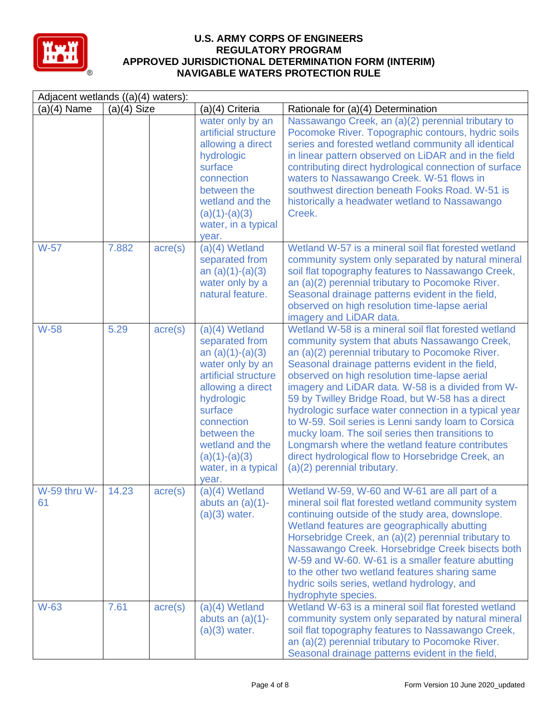

| Adjacent wetlands ((a)(4) waters): |               |                  |                                                                                                                                                                                                                                                       |                                                                                                                                                                                                                                                                                                                                                                                                                                                                                                                                                                                                                                                                                   |  |
|------------------------------------|---------------|------------------|-------------------------------------------------------------------------------------------------------------------------------------------------------------------------------------------------------------------------------------------------------|-----------------------------------------------------------------------------------------------------------------------------------------------------------------------------------------------------------------------------------------------------------------------------------------------------------------------------------------------------------------------------------------------------------------------------------------------------------------------------------------------------------------------------------------------------------------------------------------------------------------------------------------------------------------------------------|--|
| $(a)(4)$ Name                      | $(a)(4)$ Size |                  | (a)(4) Criteria                                                                                                                                                                                                                                       | Rationale for (a)(4) Determination                                                                                                                                                                                                                                                                                                                                                                                                                                                                                                                                                                                                                                                |  |
|                                    |               |                  | water only by an<br>artificial structure<br>allowing a direct<br>hydrologic<br>surface<br>connection<br>between the<br>wetland and the<br>$(a)(1)-(a)(3)$<br>water, in a typical<br>year.                                                             | Nassawango Creek, an (a)(2) perennial tributary to<br>Pocomoke River. Topographic contours, hydric soils<br>series and forested wetland community all identical<br>in linear pattern observed on LiDAR and in the field<br>contributing direct hydrological connection of surface<br>waters to Nassawango Creek. W-51 flows in<br>southwest direction beneath Fooks Road, W-51 is<br>historically a headwater wetland to Nassawango<br>Creek.                                                                                                                                                                                                                                     |  |
| W-57                               | 7.882         | $\text{acre}(s)$ | $(a)(4)$ Wetland<br>separated from<br>an $(a)(1)-(a)(3)$<br>water only by a<br>natural feature.                                                                                                                                                       | Wetland W-57 is a mineral soil flat forested wetland<br>community system only separated by natural mineral<br>soil flat topography features to Nassawango Creek,<br>an (a)(2) perennial tributary to Pocomoke River.<br>Seasonal drainage patterns evident in the field,<br>observed on high resolution time-lapse aerial<br>imagery and LiDAR data.                                                                                                                                                                                                                                                                                                                              |  |
| <b>W-58</b>                        | 5.29          | $\text{acre}(s)$ | $(a)(4)$ Wetland<br>separated from<br>an $(a)(1)-(a)(3)$<br>water only by an<br>artificial structure<br>allowing a direct<br>hydrologic<br>surface<br>connection<br>between the<br>wetland and the<br>$(a)(1)-(a)(3)$<br>water, in a typical<br>year. | Wetland W-58 is a mineral soil flat forested wetland<br>community system that abuts Nassawango Creek,<br>an (a)(2) perennial tributary to Pocomoke River.<br>Seasonal drainage patterns evident in the field,<br>observed on high resolution time-lapse aerial<br>imagery and LiDAR data. W-58 is a divided from W-<br>59 by Twilley Bridge Road, but W-58 has a direct<br>hydrologic surface water connection in a typical year<br>to W-59. Soil series is Lenni sandy loam to Corsica<br>mucky loam. The soil series then transitions to<br>Longmarsh where the wetland feature contributes<br>direct hydrological flow to Horsebridge Creek, an<br>(a)(2) perennial tributary. |  |
| W-59 thru W-<br>61                 | 14.23         | $\text{acre}(s)$ | (a)(4) Wetland<br>abuts an $(a)(1)$ -<br>$(a)(3)$ water.                                                                                                                                                                                              | Wetland W-59, W-60 and W-61 are all part of a<br>mineral soil flat forested wetland community system<br>continuing outside of the study area, downslope.<br>Wetland features are geographically abutting<br>Horsebridge Creek, an (a)(2) perennial tributary to<br>Nassawango Creek. Horsebridge Creek bisects both<br>W-59 and W-60. W-61 is a smaller feature abutting<br>to the other two wetland features sharing same<br>hydric soils series, wetland hydrology, and<br>hydrophyte species.                                                                                                                                                                                  |  |
| W-63                               | 7.61          | $\text{acre}(s)$ | $(a)(4)$ Wetland<br>abuts an $(a)(1)$ -<br>$(a)(3)$ water.                                                                                                                                                                                            | Wetland W-63 is a mineral soil flat forested wetland<br>community system only separated by natural mineral<br>soil flat topography features to Nassawango Creek,<br>an (a)(2) perennial tributary to Pocomoke River.<br>Seasonal drainage patterns evident in the field,                                                                                                                                                                                                                                                                                                                                                                                                          |  |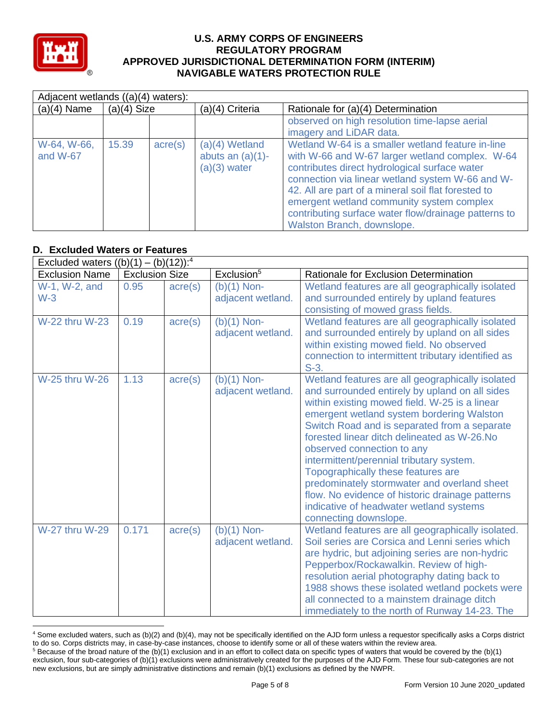

| Adjacent wetlands ((a)(4) waters): |               |                  |                                                           |                                                                                                                                                                                                                                                                                                                                                                                                     |  |  |
|------------------------------------|---------------|------------------|-----------------------------------------------------------|-----------------------------------------------------------------------------------------------------------------------------------------------------------------------------------------------------------------------------------------------------------------------------------------------------------------------------------------------------------------------------------------------------|--|--|
| $(a)(4)$ Name                      | $(a)(4)$ Size |                  | (a)(4) Criteria                                           | Rationale for (a)(4) Determination                                                                                                                                                                                                                                                                                                                                                                  |  |  |
|                                    |               |                  |                                                           | observed on high resolution time-lapse aerial<br>imagery and LiDAR data.                                                                                                                                                                                                                                                                                                                            |  |  |
| W-64, W-66,<br>and W-67            | 15.39         | $\text{acre}(s)$ | $(a)(4)$ Wetland<br>abuts an $(a)(1)$ -<br>$(a)(3)$ water | Wetland W-64 is a smaller wetland feature in-line<br>with W-66 and W-67 larger wetland complex. W-64<br>contributes direct hydrological surface water<br>connection via linear wetland system W-66 and W-<br>42. All are part of a mineral soil flat forested to<br>emergent wetland community system complex<br>contributing surface water flow/drainage patterns to<br>Walston Branch, downslope. |  |  |

# **D. Excluded Waters or Features**

| Excluded waters $((b)(1) - (b)(12))$ : <sup>4</sup> |                       |                  |                                    |                                                                                                                                                                                                                                                                                                                                                                                                                                                                                                                                                                                       |
|-----------------------------------------------------|-----------------------|------------------|------------------------------------|---------------------------------------------------------------------------------------------------------------------------------------------------------------------------------------------------------------------------------------------------------------------------------------------------------------------------------------------------------------------------------------------------------------------------------------------------------------------------------------------------------------------------------------------------------------------------------------|
| <b>Exclusion Name</b>                               | <b>Exclusion Size</b> |                  | Exclusion <sup>5</sup>             | Rationale for Exclusion Determination                                                                                                                                                                                                                                                                                                                                                                                                                                                                                                                                                 |
| W-1, W-2, and<br>$W-3$                              | 0.95                  | $\text{acre}(s)$ | $(b)(1)$ Non-<br>adjacent wetland. | Wetland features are all geographically isolated<br>and surrounded entirely by upland features<br>consisting of mowed grass fields.                                                                                                                                                                                                                                                                                                                                                                                                                                                   |
| <b>W-22 thru W-23</b>                               | 0.19                  | $\text{acre}(s)$ | $(b)(1)$ Non-<br>adjacent wetland. | Wetland features are all geographically isolated<br>and surrounded entirely by upland on all sides<br>within existing mowed field. No observed<br>connection to intermittent tributary identified as<br>$S-3.$                                                                                                                                                                                                                                                                                                                                                                        |
| <b>W-25 thru W-26</b>                               | 1.13                  | $\text{acre}(s)$ | $(b)(1)$ Non-<br>adjacent wetland. | Wetland features are all geographically isolated<br>and surrounded entirely by upland on all sides<br>within existing mowed field. W-25 is a linear<br>emergent wetland system bordering Walston<br>Switch Road and is separated from a separate<br>forested linear ditch delineated as W-26.No<br>observed connection to any<br>intermittent/perennial tributary system.<br>Topographically these features are<br>predominately stormwater and overland sheet<br>flow. No evidence of historic drainage patterns<br>indicative of headwater wetland systems<br>connecting downslope. |
| <b>W-27 thru W-29</b>                               | 0.171                 | acre(s)          | $(b)(1)$ Non-<br>adjacent wetland. | Wetland features are all geographically isolated.<br>Soil series are Corsica and Lenni series which<br>are hydric, but adjoining series are non-hydric<br>Pepperbox/Rockawalkin. Review of high-<br>resolution aerial photography dating back to<br>1988 shows these isolated wetland pockets were<br>all connected to a mainstem drainage ditch<br>immediately to the north of Runway 14-23. The                                                                                                                                                                                     |

<sup>4</sup> Some excluded waters, such as (b)(2) and (b)(4), may not be specifically identified on the AJD form unless a requestor specifically asks a Corps district to do so. Corps districts may, in case-by-case instances, choose to identify some or all of these waters within the review area.  $5$  Because of the broad nature of the (b)(1) exclusion and in an effort to collect data on specific types of waters that would be covered by the (b)(1)

exclusion, four sub-categories of (b)(1) exclusions were administratively created for the purposes of the AJD Form. These four sub-categories are not new exclusions, but are simply administrative distinctions and remain (b)(1) exclusions as defined by the NWPR.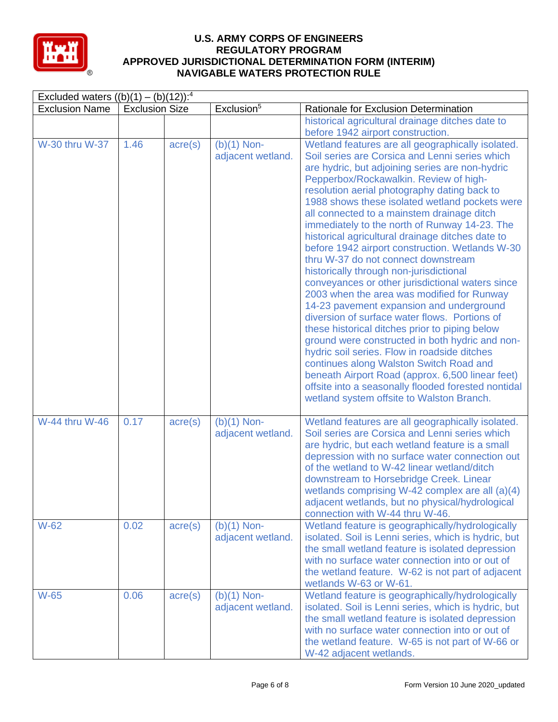

|                       | Excluded waters $((b)(1) - (b)(12))$ : <sup>4</sup> |                  |                                    |                                                                                                                                                                                                                                                                                                                                                                                                                                                                                                                                                                                                                                                                                                                                                                                                                                                                                                                                                                                                                                                                                                                                                   |  |  |
|-----------------------|-----------------------------------------------------|------------------|------------------------------------|---------------------------------------------------------------------------------------------------------------------------------------------------------------------------------------------------------------------------------------------------------------------------------------------------------------------------------------------------------------------------------------------------------------------------------------------------------------------------------------------------------------------------------------------------------------------------------------------------------------------------------------------------------------------------------------------------------------------------------------------------------------------------------------------------------------------------------------------------------------------------------------------------------------------------------------------------------------------------------------------------------------------------------------------------------------------------------------------------------------------------------------------------|--|--|
| <b>Exclusion Name</b> | <b>Exclusion Size</b>                               |                  | Exclusion <sup>5</sup>             | Rationale for Exclusion Determination                                                                                                                                                                                                                                                                                                                                                                                                                                                                                                                                                                                                                                                                                                                                                                                                                                                                                                                                                                                                                                                                                                             |  |  |
|                       |                                                     |                  |                                    | historical agricultural drainage ditches date to<br>before 1942 airport construction.                                                                                                                                                                                                                                                                                                                                                                                                                                                                                                                                                                                                                                                                                                                                                                                                                                                                                                                                                                                                                                                             |  |  |
| W-30 thru W-37        | 1.46                                                | $\text{acre}(s)$ | $(b)(1)$ Non-<br>adjacent wetland. | Wetland features are all geographically isolated.<br>Soil series are Corsica and Lenni series which<br>are hydric, but adjoining series are non-hydric<br>Pepperbox/Rockawalkin. Review of high-<br>resolution aerial photography dating back to<br>1988 shows these isolated wetland pockets were<br>all connected to a mainstem drainage ditch<br>immediately to the north of Runway 14-23. The<br>historical agricultural drainage ditches date to<br>before 1942 airport construction. Wetlands W-30<br>thru W-37 do not connect downstream<br>historically through non-jurisdictional<br>conveyances or other jurisdictional waters since<br>2003 when the area was modified for Runway<br>14-23 pavement expansion and underground<br>diversion of surface water flows. Portions of<br>these historical ditches prior to piping below<br>ground were constructed in both hydric and non-<br>hydric soil series. Flow in roadside ditches<br>continues along Walston Switch Road and<br>beneath Airport Road (approx. 6,500 linear feet)<br>offsite into a seasonally flooded forested nontidal<br>wetland system offsite to Walston Branch. |  |  |
| W-44 thru W-46        | 0.17                                                | $\text{acre}(s)$ | $(b)(1)$ Non-<br>adjacent wetland. | Wetland features are all geographically isolated.<br>Soil series are Corsica and Lenni series which<br>are hydric, but each wetland feature is a small<br>depression with no surface water connection out<br>of the wetland to W-42 linear wetland/ditch<br>downstream to Horsebridge Creek. Linear<br>wetlands comprising W-42 complex are all (a)(4)<br>adjacent wetlands, but no physical/hydrological<br>connection with W-44 thru W-46.                                                                                                                                                                                                                                                                                                                                                                                                                                                                                                                                                                                                                                                                                                      |  |  |
| W-62                  | 0.02                                                | $\text{acre}(s)$ | $(b)(1)$ Non-<br>adjacent wetland. | Wetland feature is geographically/hydrologically<br>isolated. Soil is Lenni series, which is hydric, but<br>the small wetland feature is isolated depression<br>with no surface water connection into or out of<br>the wetland feature. W-62 is not part of adjacent<br>wetlands W-63 or W-61.                                                                                                                                                                                                                                                                                                                                                                                                                                                                                                                                                                                                                                                                                                                                                                                                                                                    |  |  |
| <b>W-65</b>           | 0.06                                                | $\text{acre}(s)$ | $(b)(1)$ Non-<br>adjacent wetland. | Wetland feature is geographically/hydrologically<br>isolated. Soil is Lenni series, which is hydric, but<br>the small wetland feature is isolated depression<br>with no surface water connection into or out of<br>the wetland feature. W-65 is not part of W-66 or<br>W-42 adjacent wetlands.                                                                                                                                                                                                                                                                                                                                                                                                                                                                                                                                                                                                                                                                                                                                                                                                                                                    |  |  |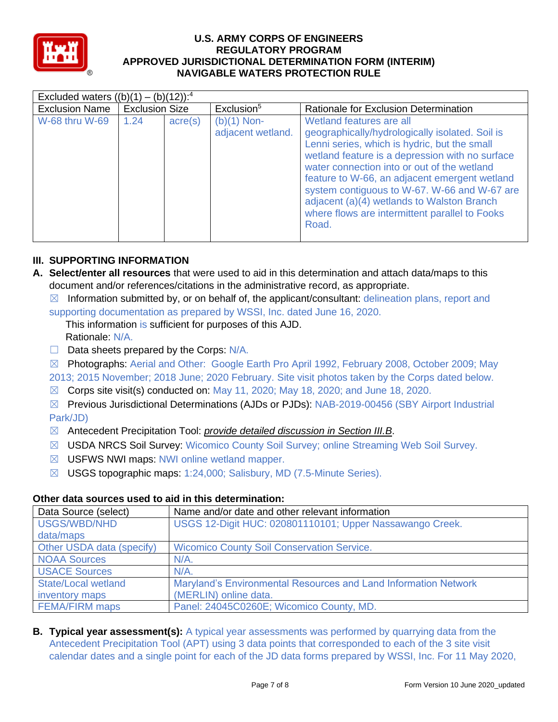

|                       | Excluded waters $((b)(1) - (b)(12))$ : <sup>4</sup> |                  |                                    |                                                                                                                                                                                                                                                                                                                                                                                                                                         |  |  |  |  |
|-----------------------|-----------------------------------------------------|------------------|------------------------------------|-----------------------------------------------------------------------------------------------------------------------------------------------------------------------------------------------------------------------------------------------------------------------------------------------------------------------------------------------------------------------------------------------------------------------------------------|--|--|--|--|
| <b>Exclusion Name</b> | <b>Exclusion Size</b>                               |                  | Exclusion <sup>5</sup>             | Rationale for Exclusion Determination                                                                                                                                                                                                                                                                                                                                                                                                   |  |  |  |  |
| W-68 thru W-69        | 1.24                                                | $\text{acre}(s)$ | $(b)(1)$ Non-<br>adjacent wetland. | Wetland features are all<br>geographically/hydrologically isolated. Soil is<br>Lenni series, which is hydric, but the small<br>wetland feature is a depression with no surface<br>water connection into or out of the wetland<br>feature to W-66, an adjacent emergent wetland<br>system contiguous to W-67. W-66 and W-67 are<br>adjacent (a)(4) wetlands to Walston Branch<br>where flows are intermittent parallel to Fooks<br>Road. |  |  |  |  |

## **III. SUPPORTING INFORMATION**

**A. Select/enter all resources** that were used to aid in this determination and attach data/maps to this document and/or references/citations in the administrative record, as appropriate.

 $\boxtimes$  Information submitted by, or on behalf of, the applicant/consultant: delineation plans, report and supporting documentation as prepared by WSSI, Inc. dated June 16, 2020.

This information is sufficient for purposes of this AJD. Rationale: N/A.

 $\Box$  Data sheets prepared by the Corps:  $N/A$ .

☒ Photographs: Aerial and Other: Google Earth Pro April 1992, February 2008, October 2009; May 2013; 2015 November; 2018 June; 2020 February. Site visit photos taken by the Corps dated below.

 $\boxtimes$  Corps site visit(s) conducted on: May 11, 2020; May 18, 2020; and June 18, 2020.

☒ Previous Jurisdictional Determinations (AJDs or PJDs): NAB-2019-00456 (SBY Airport Industrial Park/JD)

- ☒ Antecedent Precipitation Tool: *provide detailed discussion in Section III.B*.
- ☒ USDA NRCS Soil Survey: Wicomico County Soil Survey; online Streaming Web Soil Survey.
- ☒ USFWS NWI maps: NWI online wetland mapper.
- ☒ USGS topographic maps: 1:24,000; Salisbury, MD (7.5-Minute Series).

## **Other data sources used to aid in this determination:**

| Data Source (select)       | Name and/or date and other relevant information                 |
|----------------------------|-----------------------------------------------------------------|
| USGS/WBD/NHD               | USGS 12-Digit HUC: 020801110101; Upper Nassawango Creek.        |
| data/maps                  |                                                                 |
| Other USDA data (specify)  | <b>Wicomico County Soil Conservation Service.</b>               |
| <b>NOAA Sources</b>        | $N/A$ .                                                         |
| <b>USACE Sources</b>       | $N/A$ .                                                         |
| <b>State/Local wetland</b> | Maryland's Environmental Resources and Land Information Network |
| inventory maps             | (MERLIN) online data.                                           |
| <b>FEMA/FIRM maps</b>      | Panel: 24045C0260E; Wicomico County, MD.                        |

**B. Typical year assessment(s):** A typical year assessments was performed by quarrying data from the Antecedent Precipitation Tool (APT) using 3 data points that corresponded to each of the 3 site visit calendar dates and a single point for each of the JD data forms prepared by WSSI, Inc. For 11 May 2020,